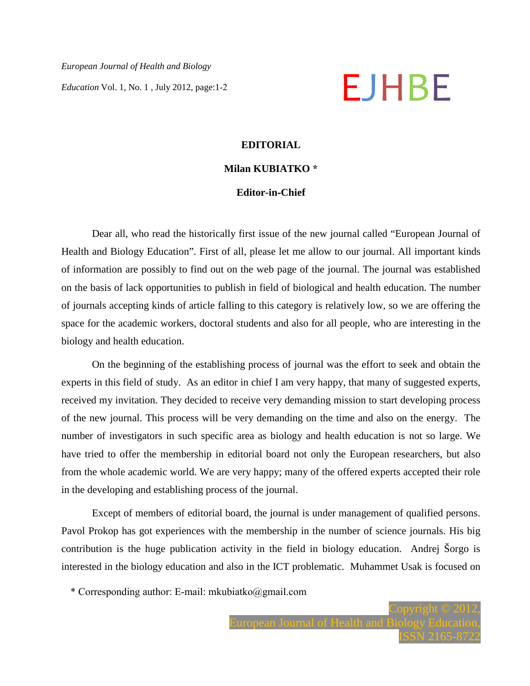*European Journal of Health and Biology Education* Vol. 1, No. 1, July 2012, page:1-2

# **EDITORIAL**

# **Milan KUBIATKO \***

### **Editor-in-Chief**

Dear all, who read the historically first issue of the new journal called "European Journal of Health and Biology Education". First of all, please let me allow to our journal. All important kinds of information are possibly to find out on the web page of the journal. The journal was established on the basis of lack opportunities to publish in field of biological and health education. The number of journals accepting kinds of article falling to this category is relatively low, so we are offering the space for the academic workers, doctoral students and also for all people, who are interesting in the biology and health education.

On the beginning of the establishing process of journal was the effort to seek and obtain the experts in this field of study. As an editor in chief I am very happy, that many of suggested experts, received my invitation. They decided to receive very demanding mission to start developing process of the new journal. This process will be very demanding on the time and also on the energy. The number of investigators in such specific area as biology and health education is not so large. We have tried to offer the membership in editorial board not only the European researchers, but also from the whole academic world. We are very happy; many of the offered experts accepted their role in the developing and establishing process of the journal.

Except of members of editorial board, the journal is under management of qualified persons. Pavol Prokop has got experiences with the membership in the number of science journals. His big contribution is the huge publication activity in the field in biology education. Andrej Šorgo is interested in the biology education and also in the ICT problematic. Muhammet Usak is focused on

\* Corresponding author: E-mail: mkubiatko@gmail.com